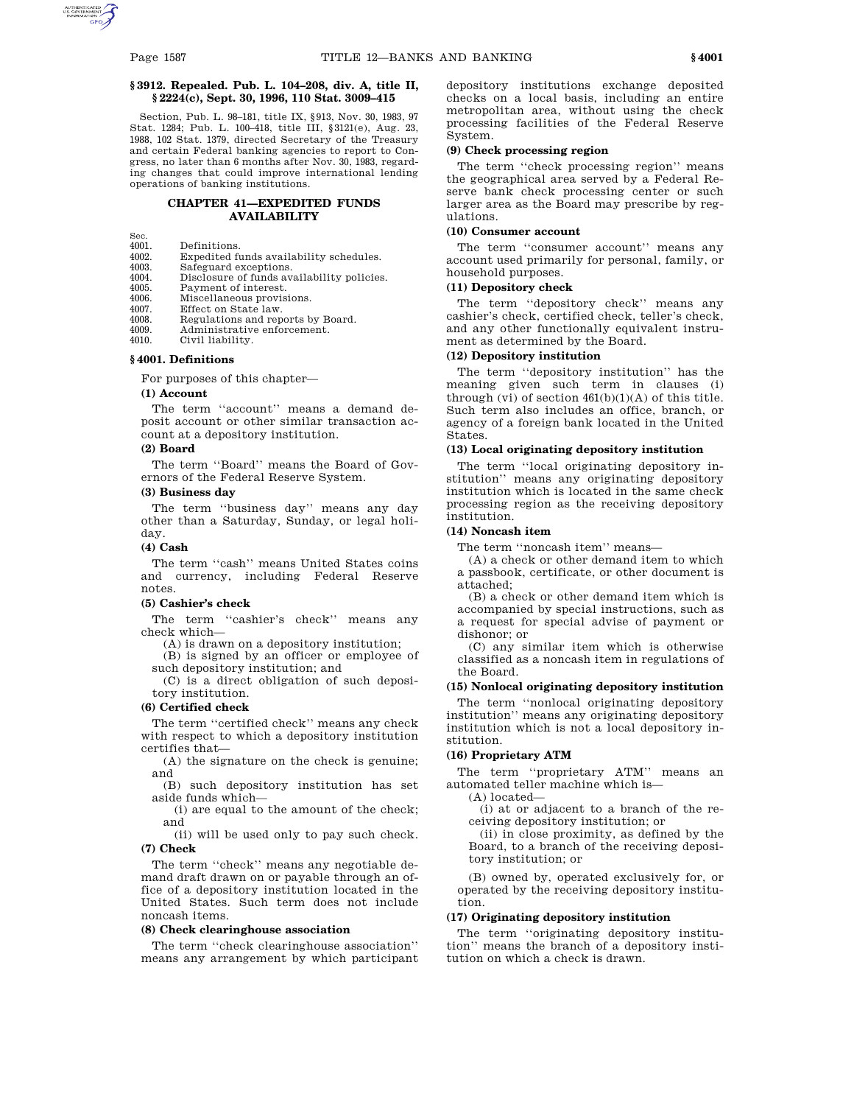## **§ 3912. Repealed. Pub. L. 104–208, div. A, title II, § 2224(c), Sept. 30, 1996, 110 Stat. 3009–415**

Section, Pub. L. 98–181, title IX, §913, Nov. 30, 1983, 97 Stat. 1284; Pub. L. 100–418, title III, §3121(e), Aug. 23, 1988, 102 Stat. 1379, directed Secretary of the Treasury and certain Federal banking agencies to report to Congress, no later than 6 months after Nov. 30, 1983, regarding changes that could improve international lending operations of banking institutions.

## **CHAPTER 41—EXPEDITED FUNDS AVAILABILITY**

- Sec.
- 4001. Definitions.<br>4002. Expedited fu 4002. Expedited funds availability schedules.<br>4003. Safeguard exceptions.
- Safeguard exceptions.
- 4004. Disclosure of funds availability policies.<br>4005. Payment of interest.
- 4005. Payment of interest.<br>4006. Miscellaneous provis
- 4006. Miscellaneous provisions.<br>4007. Effect on State law.
- 4007. Effect on State law.<br>4008. Regulations and repo
- 4008. Regulations and reports by Board.<br>4009. Administrative enforcement. Administrative enforcement.
- 4010. Civil liability.

#### **§ 4001. Definitions**

For purposes of this chapter—

## **(1) Account**

The term "account" means a demand deposit account or other similar transaction account at a depository institution.

#### **(2) Board**

The term ''Board'' means the Board of Governors of the Federal Reserve System.

#### **(3) Business day**

The term ''business day'' means any day other than a Saturday, Sunday, or legal holiday.

#### **(4) Cash**

The term ''cash'' means United States coins and currency, including Federal Reserve notes.

#### **(5) Cashier's check**

The term "cashier's check" means any check which—

(A) is drawn on a depository institution;

(B) is signed by an officer or employee of

such depository institution; and (C) is a direct obligation of such depository institution.

# **(6) Certified check**

The term ''certified check'' means any check with respect to which a depository institution certifies that—

(A) the signature on the check is genuine; and

(B) such depository institution has set aside funds which—

(i) are equal to the amount of the check; and

(ii) will be used only to pay such check. **(7) Check**

The term ''check'' means any negotiable demand draft drawn on or payable through an office of a depository institution located in the United States. Such term does not include noncash items.

# **(8) Check clearinghouse association**

The term ''check clearinghouse association'' means any arrangement by which participant

depository institutions exchange deposited checks on a local basis, including an entire metropolitan area, without using the check processing facilities of the Federal Reserve System.

#### **(9) Check processing region**

The term ''check processing region'' means the geographical area served by a Federal Reserve bank check processing center or such larger area as the Board may prescribe by regulations.

## **(10) Consumer account**

The term ''consumer account'' means any account used primarily for personal, family, or household purposes.

#### **(11) Depository check**

The term ''depository check'' means any cashier's check, certified check, teller's check, and any other functionally equivalent instrument as determined by the Board.

## **(12) Depository institution**

The term ''depository institution'' has the meaning given such term in clauses (i) through (vi) of section  $461(b)(1)(A)$  of this title. Such term also includes an office, branch, or agency of a foreign bank located in the United States.

## **(13) Local originating depository institution**

The term ''local originating depository institution'' means any originating depository institution which is located in the same check processing region as the receiving depository institution.

# **(14) Noncash item**

The term ''noncash item'' means—

(A) a check or other demand item to which a passbook, certificate, or other document is attached;

(B) a check or other demand item which is accompanied by special instructions, such as a request for special advise of payment or dishonor; or

(C) any similar item which is otherwise classified as a noncash item in regulations of the Board.

#### **(15) Nonlocal originating depository institution**

The term ''nonlocal originating depository institution'' means any originating depository institution which is not a local depository institution.

# **(16) Proprietary ATM**

The term ''proprietary ATM'' means an automated teller machine which is—

(A) located—

(i) at or adjacent to a branch of the receiving depository institution; or

(ii) in close proximity, as defined by the Board, to a branch of the receiving depository institution; or

(B) owned by, operated exclusively for, or operated by the receiving depository institution.

#### **(17) Originating depository institution**

The term ''originating depository institution'' means the branch of a depository institution on which a check is drawn.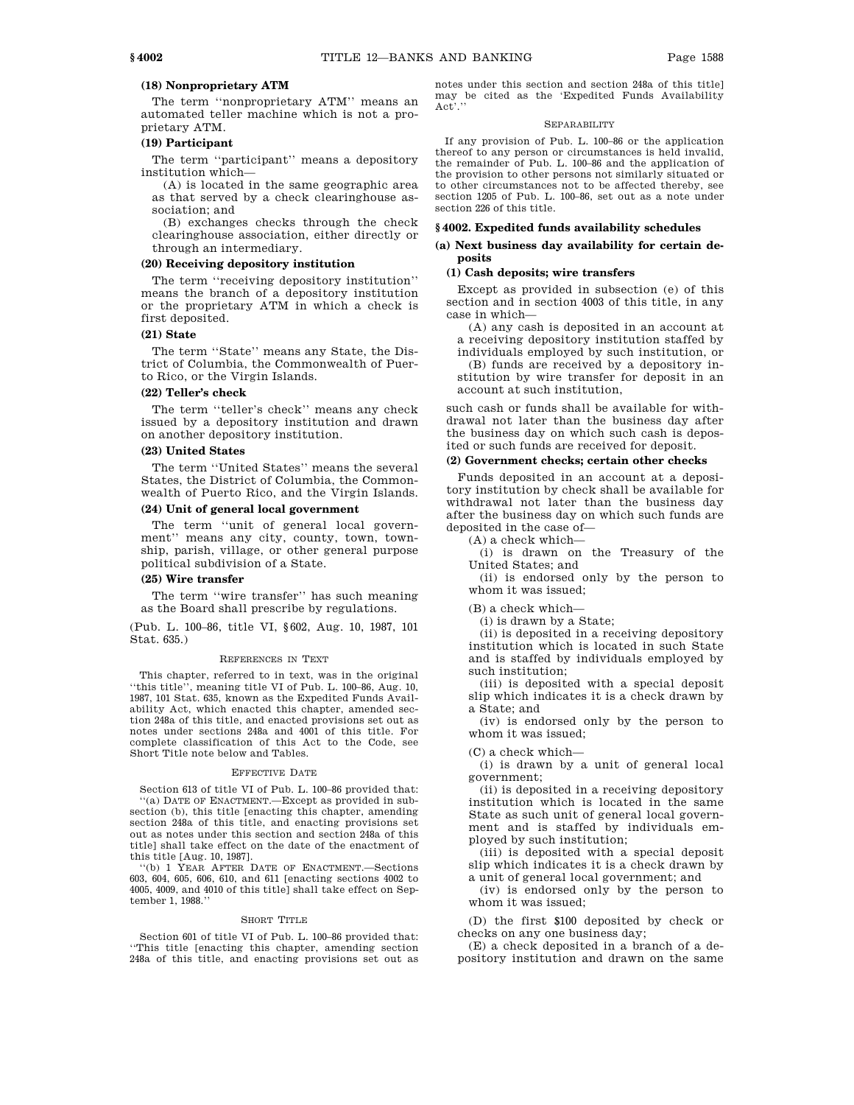#### **(18) Nonproprietary ATM**

The term ''nonproprietary ATM'' means an automated teller machine which is not a proprietary ATM.

## **(19) Participant**

The term ''participant'' means a depository institution which—

(A) is located in the same geographic area as that served by a check clearinghouse association; and

(B) exchanges checks through the check clearinghouse association, either directly or through an intermediary.

#### **(20) Receiving depository institution**

The term ''receiving depository institution'' means the branch of a depository institution or the proprietary ATM in which a check is first deposited.

## **(21) State**

The term ''State'' means any State, the District of Columbia, the Commonwealth of Puerto Rico, or the Virgin Islands.

#### **(22) Teller's check**

The term ''teller's check'' means any check issued by a depository institution and drawn on another depository institution.

#### **(23) United States**

The term ''United States'' means the several States, the District of Columbia, the Commonwealth of Puerto Rico, and the Virgin Islands.

## **(24) Unit of general local government**

The term ''unit of general local government'' means any city, county, town, township, parish, village, or other general purpose political subdivision of a State.

#### **(25) Wire transfer**

The term ''wire transfer'' has such meaning as the Board shall prescribe by regulations.

(Pub. L. 100–86, title VI, §602, Aug. 10, 1987, 101 Stat. 635.)

#### REFERENCES IN TEXT

This chapter, referred to in text, was in the original ''this title'', meaning title VI of Pub. L. 100–86, Aug. 10, 1987, 101 Stat. 635, known as the Expedited Funds Availability Act, which enacted this chapter, amended section 248a of this title, and enacted provisions set out as notes under sections 248a and 4001 of this title. For complete classification of this Act to the Code, see Short Title note below and Tables.

#### EFFECTIVE DATE

Section 613 of title VI of Pub. L. 100–86 provided that: ''(a) DATE OF ENACTMENT.—Except as provided in subsection (b), this title [enacting this chapter, amending section 248a of this title, and enacting provisions set out as notes under this section and section 248a of this title] shall take effect on the date of the enactment of this title [Aug. 10, 1987].

'(b) 1 YEAR AFTER DATE OF ENACTMENT.—Sections 603, 604, 605, 606, 610, and 611 [enacting sections 4002 to 4005, 4009, and 4010 of this title] shall take effect on September 1, 1988.''

#### SHORT TITLE

Section 601 of title VI of Pub. L. 100–86 provided that: ''This title [enacting this chapter, amending section 248a of this title, and enacting provisions set out as notes under this section and section 248a of this title] may be cited as the 'Expedited Funds Availability Act'.''

#### SEPARABILITY

If any provision of Pub. L. 100–86 or the application thereof to any person or circumstances is held invalid, the remainder of Pub. L. 100–86 and the application of the provision to other persons not similarly situated or to other circumstances not to be affected thereby, see section 1205 of Pub. L. 100–86, set out as a note under section 226 of this title.

#### **§ 4002. Expedited funds availability schedules**

#### **(a) Next business day availability for certain deposits**

#### **(1) Cash deposits; wire transfers**

Except as provided in subsection (e) of this section and in section 4003 of this title, in any case in which—

(A) any cash is deposited in an account at a receiving depository institution staffed by individuals employed by such institution, or (B) funds are received by a depository in-

stitution by wire transfer for deposit in an account at such institution,

such cash or funds shall be available for withdrawal not later than the business day after the business day on which such cash is deposited or such funds are received for deposit.

## **(2) Government checks; certain other checks**

Funds deposited in an account at a depository institution by check shall be available for withdrawal not later than the business day after the business day on which such funds are deposited in the case of—

(A) a check which—

(i) is drawn on the Treasury of the United States; and

(ii) is endorsed only by the person to whom it was issued;

(B) a check which—

(i) is drawn by a State;

(ii) is deposited in a receiving depository institution which is located in such State and is staffed by individuals employed by such institution;

(iii) is deposited with a special deposit slip which indicates it is a check drawn by a State; and

(iv) is endorsed only by the person to whom it was issued;

(C) a check which—

(i) is drawn by a unit of general local government;

(ii) is deposited in a receiving depository institution which is located in the same State as such unit of general local government and is staffed by individuals employed by such institution;

(iii) is deposited with a special deposit slip which indicates it is a check drawn by a unit of general local government; and

(iv) is endorsed only by the person to whom it was issued;

(D) the first \$100 deposited by check or checks on any one business day;

(E) a check deposited in a branch of a depository institution and drawn on the same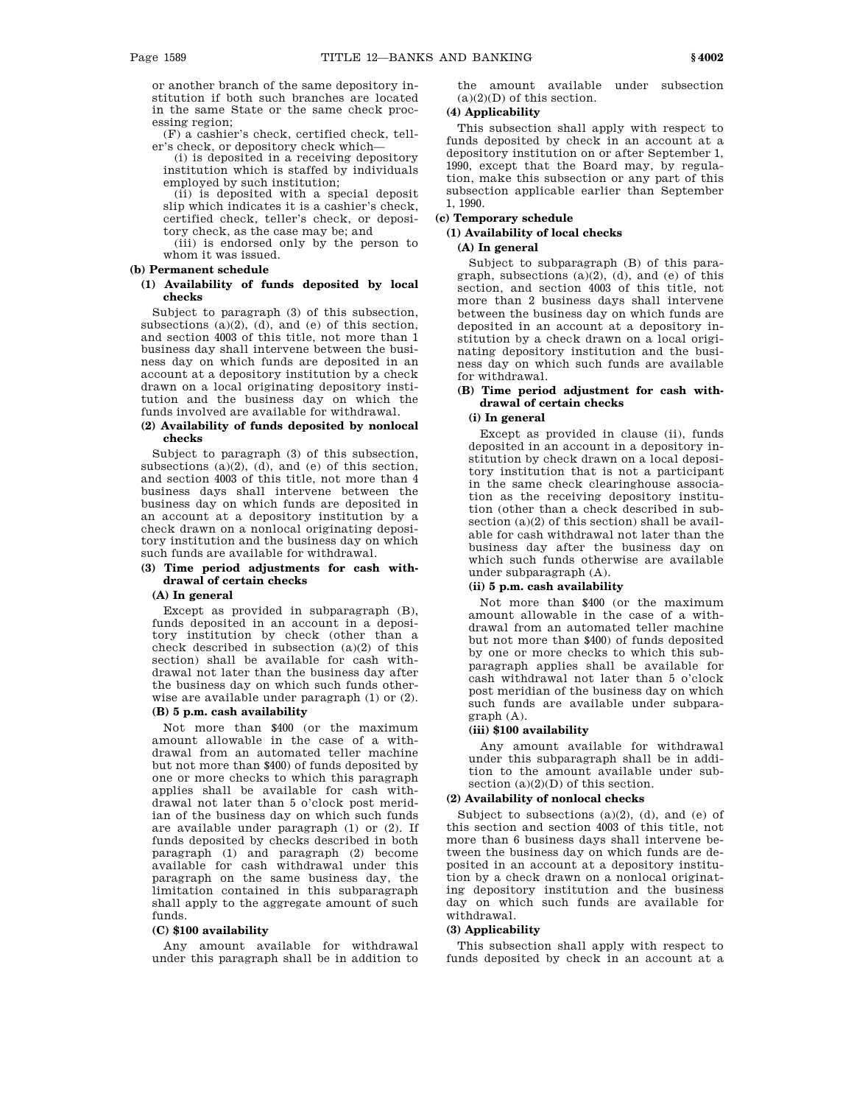or another branch of the same depository institution if both such branches are located in the same State or the same check processing region;

(F) a cashier's check, certified check, teller's check, or depository check which—

(i) is deposited in a receiving depository institution which is staffed by individuals employed by such institution;

(ii) is deposited with a special deposit slip which indicates it is a cashier's check, certified check, teller's check, or depository check, as the case may be; and

(iii) is endorsed only by the person to whom it was issued.

## **(b) Permanent schedule**

## **(1) Availability of funds deposited by local checks**

Subject to paragraph (3) of this subsection, subsections  $(a)(2)$ ,  $(d)$ , and  $(e)$  of this section, and section 4003 of this title, not more than 1 business day shall intervene between the business day on which funds are deposited in an account at a depository institution by a check drawn on a local originating depository institution and the business day on which the funds involved are available for withdrawal.

## **(2) Availability of funds deposited by nonlocal checks**

Subject to paragraph (3) of this subsection, subsections (a)(2), (d), and (e) of this section, and section 4003 of this title, not more than 4 business days shall intervene between the business day on which funds are deposited in an account at a depository institution by a check drawn on a nonlocal originating depository institution and the business day on which such funds are available for withdrawal.

# **(3) Time period adjustments for cash withdrawal of certain checks**

## **(A) In general**

Except as provided in subparagraph (B), funds deposited in an account in a depository institution by check (other than a check described in subsection (a)(2) of this section) shall be available for cash withdrawal not later than the business day after the business day on which such funds otherwise are available under paragraph (1) or (2).

# **(B) 5 p.m. cash availability**

Not more than \$400 (or the maximum amount allowable in the case of a withdrawal from an automated teller machine but not more than \$400) of funds deposited by one or more checks to which this paragraph applies shall be available for cash withdrawal not later than 5 o'clock post meridian of the business day on which such funds are available under paragraph (1) or (2). If funds deposited by checks described in both paragraph (1) and paragraph (2) become available for cash withdrawal under this paragraph on the same business day, the limitation contained in this subparagraph shall apply to the aggregate amount of such funds.

#### **(C) \$100 availability**

Any amount available for withdrawal under this paragraph shall be in addition to the amount available under subsection  $(a)(2)(D)$  of this section.

## **(4) Applicability**

This subsection shall apply with respect to funds deposited by check in an account at a depository institution on or after September 1, 1990, except that the Board may, by regulation, make this subsection or any part of this subsection applicable earlier than September 1, 1990.

# **(c) Temporary schedule**

## **(1) Availability of local checks (A) In general**

Subject to subparagraph (B) of this paragraph, subsections  $(a)(2)$ ,  $(d)$ , and  $(e)$  of this section, and section 4003 of this title, not more than 2 business days shall intervene between the business day on which funds are deposited in an account at a depository institution by a check drawn on a local originating depository institution and the business day on which such funds are available for withdrawal.

## **(B) Time period adjustment for cash withdrawal of certain checks**

## **(i) In general**

Except as provided in clause (ii), funds deposited in an account in a depository institution by check drawn on a local depository institution that is not a participant in the same check clearinghouse association as the receiving depository institution (other than a check described in subsection (a)(2) of this section) shall be available for cash withdrawal not later than the business day after the business day on which such funds otherwise are available under subparagraph (A).

## **(ii) 5 p.m. cash availability**

Not more than \$400 (or the maximum amount allowable in the case of a withdrawal from an automated teller machine but not more than \$400) of funds deposited by one or more checks to which this subparagraph applies shall be available for cash withdrawal not later than 5 o'clock post meridian of the business day on which such funds are available under subparagraph (A).

# **(iii) \$100 availability**

Any amount available for withdrawal under this subparagraph shall be in addition to the amount available under subsection  $(a)(2)(D)$  of this section.

## **(2) Availability of nonlocal checks**

Subject to subsections  $(a)(2)$ ,  $(d)$ , and  $(e)$  of this section and section 4003 of this title, not more than 6 business days shall intervene between the business day on which funds are deposited in an account at a depository institution by a check drawn on a nonlocal originating depository institution and the business day on which such funds are available for withdrawal.

## **(3) Applicability**

This subsection shall apply with respect to funds deposited by check in an account at a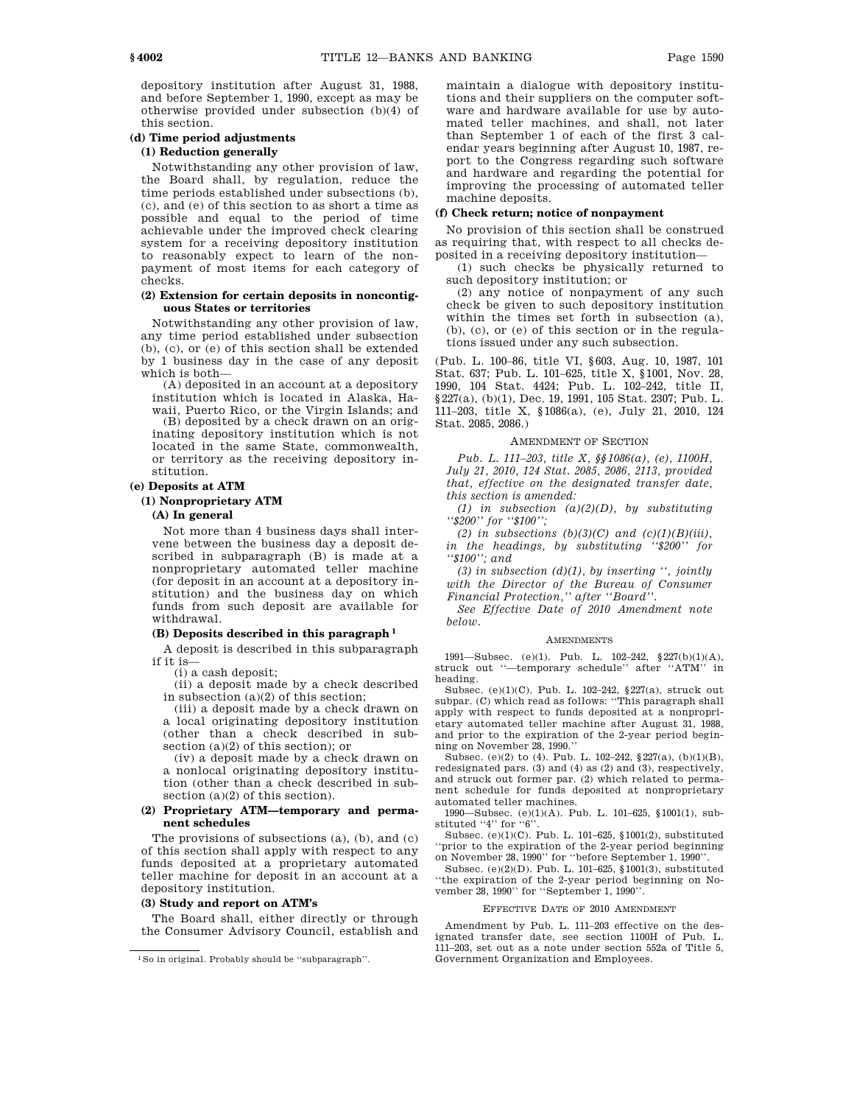depository institution after August 31, 1988, and before September 1, 1990, except as may be otherwise provided under subsection (b)(4) of this section.

# **(d) Time period adjustments**

# **(1) Reduction generally**

Notwithstanding any other provision of law, the Board shall, by regulation, reduce the time periods established under subsections (b), (c), and (e) of this section to as short a time as possible and equal to the period of time achievable under the improved check clearing system for a receiving depository institution to reasonably expect to learn of the nonpayment of most items for each category of checks.

## **(2) Extension for certain deposits in noncontiguous States or territories**

Notwithstanding any other provision of law, any time period established under subsection (b), (c), or (e) of this section shall be extended by 1 business day in the case of any deposit which is both—

(A) deposited in an account at a depository institution which is located in Alaska, Hawaii, Puerto Rico, or the Virgin Islands; and

(B) deposited by a check drawn on an originating depository institution which is not located in the same State, commonwealth, or territory as the receiving depository institution.

#### **(e) Deposits at ATM**

## **(1) Nonproprietary ATM**

# **(A) In general**

Not more than 4 business days shall intervene between the business day a deposit described in subparagraph (B) is made at a nonproprietary automated teller machine (for deposit in an account at a depository institution) and the business day on which funds from such deposit are available for withdrawal.

## **(B) Deposits described in this paragraph1**

A deposit is described in this subparagraph if it is—

(i) a cash deposit;

(ii) a deposit made by a check described in subsection (a)(2) of this section;

(iii) a deposit made by a check drawn on a local originating depository institution (other than a check described in subsection (a)(2) of this section); or

(iv) a deposit made by a check drawn on a nonlocal originating depository institution (other than a check described in subsection (a)(2) of this section).

## **(2) Proprietary ATM—temporary and permanent schedules**

The provisions of subsections (a), (b), and (c) of this section shall apply with respect to any funds deposited at a proprietary automated teller machine for deposit in an account at a depository institution.

## **(3) Study and report on ATM's**

The Board shall, either directly or through the Consumer Advisory Council, establish and maintain a dialogue with depository institutions and their suppliers on the computer software and hardware available for use by automated teller machines, and shall, not later than September 1 of each of the first 3 calendar years beginning after August 10, 1987, report to the Congress regarding such software and hardware and regarding the potential for improving the processing of automated teller machine deposits.

## **(f) Check return; notice of nonpayment**

No provision of this section shall be construed as requiring that, with respect to all checks deposited in a receiving depository institution—

(1) such checks be physically returned to such depository institution; or

(2) any notice of nonpayment of any such check be given to such depository institution within the times set forth in subsection (a), (b), (c), or (e) of this section or in the regulations issued under any such subsection.

(Pub. L. 100–86, title VI, §603, Aug. 10, 1987, 101 Stat. 637; Pub. L. 101–625, title X, §1001, Nov. 28, 1990, 104 Stat. 4424; Pub. L. 102–242, title II, §227(a), (b)(1), Dec. 19, 1991, 105 Stat. 2307; Pub. L. 111–203, title X, §1086(a), (e), July 21, 2010, 124 Stat. 2085, 2086.)

#### AMENDMENT OF SECTION

*Pub. L. 111–203, title X, §§1086(a), (e), 1100H, July 21, 2010, 124 Stat. 2085, 2086, 2113, provided that, effective on the designated transfer date, this section is amended:*

*(1) in subsection (a)(2)(D), by substituting ''\$200'' for ''\$100'';*

*(2) in subsections (b)(3)(C) and (c)(1)(B)(iii), in the headings, by substituting ''\$200'' for ''\$100''; and*

*(3) in subsection (d)(1), by inserting '', jointly with the Director of the Bureau of Consumer Financial Protection,'' after ''Board''.*

*See Effective Date of 2010 Amendment note below.*

#### **AMENDMENTS**

1991—Subsec. (e)(1). Pub. L. 102–242, §227(b)(1)(A), struck out ''—temporary schedule'' after ''ATM'' in heading.

Subsec. (e)(1)(C). Pub. L. 102–242, §227(a), struck out subpar. (C) which read as follows: ''This paragraph shall apply with respect to funds deposited at a nonproprietary automated teller machine after August 31, 1988, and prior to the expiration of the 2-year period beginning on November 28, 1990.''

Subsec. (e)(2) to (4). Pub. L. 102–242, §227(a), (b)(1)(B), redesignated pars. (3) and (4) as (2) and (3), respectively, and struck out former par. (2) which related to permanent schedule for funds deposited at nonproprietary automated teller machines.

1990—Subsec. (e)(1)(A). Pub. L. 101–625, §1001(1), substituted "4" for "6".

Subsec. (e)(1)(C). Pub. L. 101–625, §1001(2), substituted ''prior to the expiration of the 2-year period beginning on November 28, 1990'' for ''before September 1, 1990''.

Subsec. (e)(2)(D). Pub. L. 101–625, §1001(3), substituted ''the expiration of the 2-year period beginning on November 28, 1990" for "September 1, 1990".

#### EFFECTIVE DATE OF 2010 AMENDMENT

Amendment by Pub. L. 111–203 effective on the designated transfer date, see section 1100H of Pub. L. 111–203, set out as a note under section 552a of Title 5, Government Organization and Employees.

<sup>1</sup>So in original. Probably should be ''subparagraph''.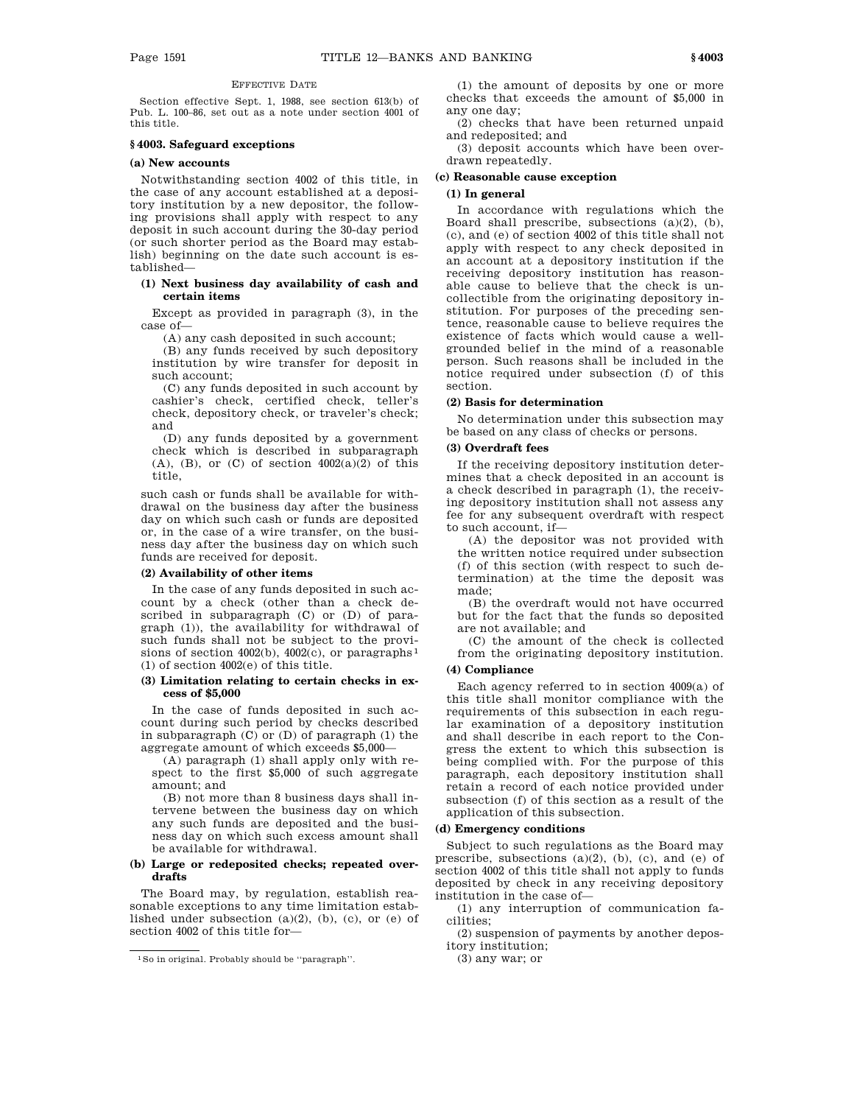#### EFFECTIVE DATE

Section effective Sept. 1, 1988, see section 613(b) of Pub. L. 100–86, set out as a note under section 4001 of this title.

## **§ 4003. Safeguard exceptions**

#### **(a) New accounts**

Notwithstanding section 4002 of this title, in the case of any account established at a depository institution by a new depositor, the following provisions shall apply with respect to any deposit in such account during the 30-day period (or such shorter period as the Board may establish) beginning on the date such account is established—

## **(1) Next business day availability of cash and certain items**

Except as provided in paragraph (3), in the case of—

(A) any cash deposited in such account;

(B) any funds received by such depository institution by wire transfer for deposit in such account;

(C) any funds deposited in such account by cashier's check, certified check, teller's check, depository check, or traveler's check; and

(D) any funds deposited by a government check which is described in subparagraph  $(A)$ ,  $(B)$ , or  $(C)$  of section  $4002(a)(2)$  of this title,

such cash or funds shall be available for withdrawal on the business day after the business day on which such cash or funds are deposited or, in the case of a wire transfer, on the business day after the business day on which such funds are received for deposit.

## **(2) Availability of other items**

In the case of any funds deposited in such account by a check (other than a check described in subparagraph (C) or (D) of paragraph (1)), the availability for withdrawal of such funds shall not be subject to the provisions of section  $4002(b)$ ,  $4002(c)$ , or paragraphs<sup>1</sup> (1) of section 4002(e) of this title.

## **(3) Limitation relating to certain checks in excess of \$5,000**

In the case of funds deposited in such account during such period by checks described in subparagraph (C) or (D) of paragraph (1) the aggregate amount of which exceeds \$5,000—

(A) paragraph (1) shall apply only with respect to the first \$5,000 of such aggregate amount; and

(B) not more than 8 business days shall intervene between the business day on which any such funds are deposited and the business day on which such excess amount shall be available for withdrawal.

## **(b) Large or redeposited checks; repeated overdrafts**

The Board may, by regulation, establish reasonable exceptions to any time limitation established under subsection  $(a)(2)$ ,  $(b)$ ,  $(c)$ , or  $(e)$  of section 4002 of this title for—

(1) the amount of deposits by one or more checks that exceeds the amount of \$5,000 in any one day;

(2) checks that have been returned unpaid and redeposited; and

(3) deposit accounts which have been overdrawn repeatedly.

## **(c) Reasonable cause exception**

## **(1) In general**

In accordance with regulations which the Board shall prescribe, subsections (a)(2), (b), (c), and (e) of section 4002 of this title shall not apply with respect to any check deposited in an account at a depository institution if the receiving depository institution has reasonable cause to believe that the check is uncollectible from the originating depository institution. For purposes of the preceding sentence, reasonable cause to believe requires the existence of facts which would cause a wellgrounded belief in the mind of a reasonable person. Such reasons shall be included in the notice required under subsection (f) of this section.

#### **(2) Basis for determination**

No determination under this subsection may be based on any class of checks or persons.

#### **(3) Overdraft fees**

If the receiving depository institution determines that a check deposited in an account is a check described in paragraph (1), the receiving depository institution shall not assess any fee for any subsequent overdraft with respect to such account, if—

(A) the depositor was not provided with the written notice required under subsection (f) of this section (with respect to such determination) at the time the deposit was made;

(B) the overdraft would not have occurred but for the fact that the funds so deposited are not available; and

(C) the amount of the check is collected from the originating depository institution.

## **(4) Compliance**

Each agency referred to in section 4009(a) of this title shall monitor compliance with the requirements of this subsection in each regular examination of a depository institution and shall describe in each report to the Congress the extent to which this subsection is being complied with. For the purpose of this paragraph, each depository institution shall retain a record of each notice provided under subsection (f) of this section as a result of the application of this subsection.

## **(d) Emergency conditions**

Subject to such regulations as the Board may prescribe, subsections  $(a)(2)$ ,  $(b)$ ,  $(c)$ , and  $(e)$  of section 4002 of this title shall not apply to funds deposited by check in any receiving depository institution in the case of—

(1) any interruption of communication facilities;

(2) suspension of payments by another depository institution;

(3) any war; or

<sup>1</sup>So in original. Probably should be ''paragraph''.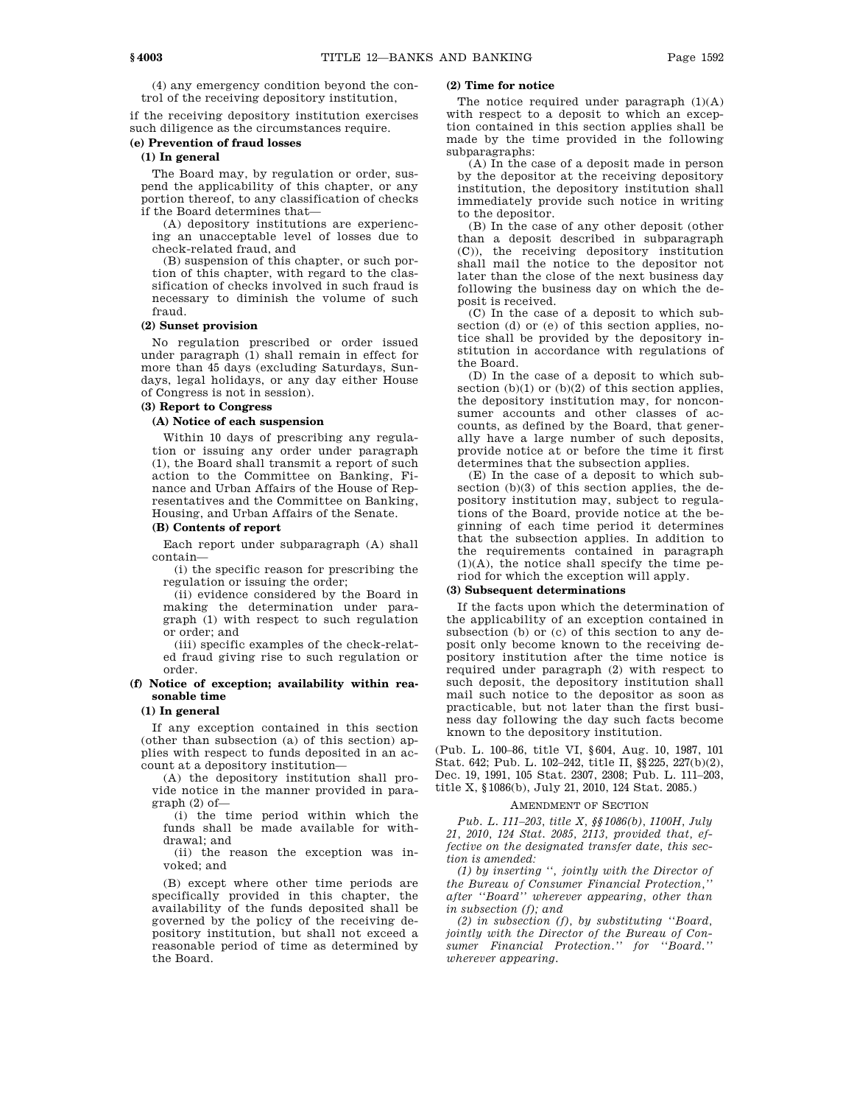(4) any emergency condition beyond the control of the receiving depository institution,

if the receiving depository institution exercises such diligence as the circumstances require.

## **(e) Prevention of fraud losses**

## **(1) In general**

The Board may, by regulation or order, suspend the applicability of this chapter, or any portion thereof, to any classification of checks if the Board determines that—

(A) depository institutions are experiencing an unacceptable level of losses due to check-related fraud, and

(B) suspension of this chapter, or such portion of this chapter, with regard to the classification of checks involved in such fraud is necessary to diminish the volume of such fraud.

# **(2) Sunset provision**

No regulation prescribed or order issued under paragraph (1) shall remain in effect for more than 45 days (excluding Saturdays, Sundays, legal holidays, or any day either House of Congress is not in session).

#### **(3) Report to Congress**

#### **(A) Notice of each suspension**

Within 10 days of prescribing any regulation or issuing any order under paragraph (1), the Board shall transmit a report of such action to the Committee on Banking, Finance and Urban Affairs of the House of Representatives and the Committee on Banking, Housing, and Urban Affairs of the Senate.

# **(B) Contents of report**

Each report under subparagraph (A) shall contain—

(i) the specific reason for prescribing the regulation or issuing the order;

(ii) evidence considered by the Board in making the determination under paragraph (1) with respect to such regulation or order; and

(iii) specific examples of the check-related fraud giving rise to such regulation or order.

## **(f) Notice of exception; availability within reasonable time**

# **(1) In general**

If any exception contained in this section (other than subsection (a) of this section) applies with respect to funds deposited in an account at a depository institution—

(A) the depository institution shall provide notice in the manner provided in paragraph (2) of—

(i) the time period within which the funds shall be made available for withdrawal; and

(ii) the reason the exception was invoked; and

(B) except where other time periods are specifically provided in this chapter, the availability of the funds deposited shall be governed by the policy of the receiving depository institution, but shall not exceed a reasonable period of time as determined by the Board.

## **(2) Time for notice**

The notice required under paragraph  $(1)(A)$ with respect to a deposit to which an exception contained in this section applies shall be made by the time provided in the following subparagraphs:

(A) In the case of a deposit made in person by the depositor at the receiving depository institution, the depository institution shall immediately provide such notice in writing to the depositor.

(B) In the case of any other deposit (other than a deposit described in subparagraph (C)), the receiving depository institution shall mail the notice to the depositor not later than the close of the next business day following the business day on which the deposit is received.

(C) In the case of a deposit to which subsection (d) or (e) of this section applies, notice shall be provided by the depository institution in accordance with regulations of the Board.

(D) In the case of a deposit to which subsection  $(b)(1)$  or  $(b)(2)$  of this section applies, the depository institution may, for nonconsumer accounts and other classes of accounts, as defined by the Board, that generally have a large number of such deposits, provide notice at or before the time it first determines that the subsection applies.

(E) In the case of a deposit to which subsection (b)(3) of this section applies, the depository institution may, subject to regulations of the Board, provide notice at the beginning of each time period it determines that the subsection applies. In addition to the requirements contained in paragraph  $(1)(A)$ , the notice shall specify the time period for which the exception will apply.

## **(3) Subsequent determinations**

If the facts upon which the determination of the applicability of an exception contained in subsection (b) or (c) of this section to any deposit only become known to the receiving depository institution after the time notice is required under paragraph (2) with respect to such deposit, the depository institution shall mail such notice to the depositor as soon as practicable, but not later than the first business day following the day such facts become known to the depository institution.

(Pub. L. 100–86, title VI, §604, Aug. 10, 1987, 101 Stat. 642; Pub. L. 102–242, title II, §§225, 227(b)(2), Dec. 19, 1991, 105 Stat. 2307, 2308; Pub. L. 111–203, title X, §1086(b), July 21, 2010, 124 Stat. 2085.)

#### AMENDMENT OF SECTION

*Pub. L. 111–203, title X, §§1086(b), 1100H, July 21, 2010, 124 Stat. 2085, 2113, provided that, effective on the designated transfer date, this section is amended:*

*(1) by inserting '', jointly with the Director of the Bureau of Consumer Financial Protection,'' after ''Board'' wherever appearing, other than in subsection (f); and*

*(2) in subsection (f), by substituting ''Board, jointly with the Director of the Bureau of Consumer Financial Protection.'' for ''Board.'' wherever appearing.*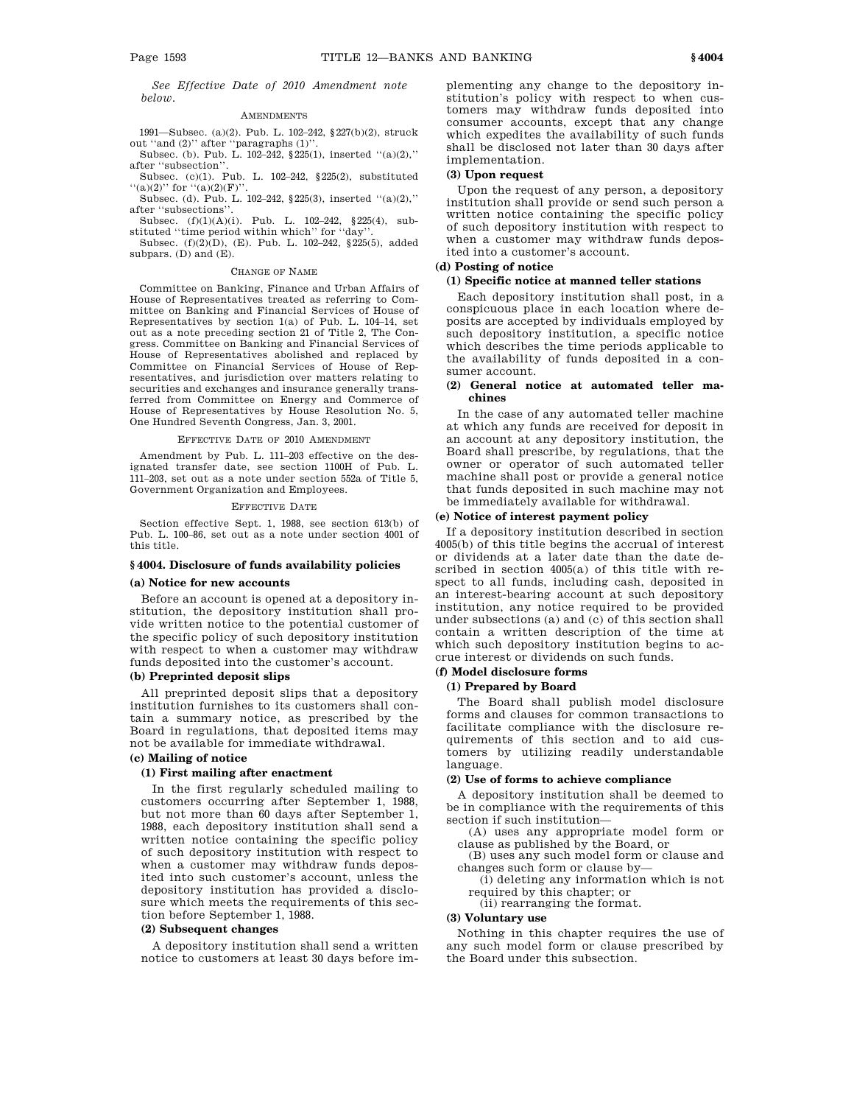*See Effective Date of 2010 Amendment note below.*

#### AMENDMENTS

1991—Subsec. (a)(2). Pub. L. 102–242, §227(b)(2), struck out "and (2)" after "paragraphs (1)".

Subsec. (b). Pub. L. 102–242, §225(1), inserted ''(a)(2),'' after ''subsection''.

Subsec. (c)(1). Pub. L. 102–242, §225(2), substituted  $``(a)(2)"$  for  $``(a)(2)(F)"$ 

Subsec. (d). Pub. L. 102–242, §225(3), inserted ''(a)(2),'' after ''subsections''.

Subsec. (f)(1)(A)(i). Pub. L. 102–242, §225(4), substituted "time period within which" for "day".

Subsec. (f)(2)(D), (E). Pub. L. 102–242, §225(5), added subpars. (D) and (E).

#### CHANGE OF NAME

Committee on Banking, Finance and Urban Affairs of House of Representatives treated as referring to Committee on Banking and Financial Services of House of Representatives by section 1(a) of Pub. L. 104–14, set out as a note preceding section 21 of Title 2, The Congress. Committee on Banking and Financial Services of House of Representatives abolished and replaced by Committee on Financial Services of House of Representatives, and jurisdiction over matters relating to securities and exchanges and insurance generally transferred from Committee on Energy and Commerce of House of Representatives by House Resolution No. 5, One Hundred Seventh Congress, Jan. 3, 2001.

#### EFFECTIVE DATE OF 2010 AMENDMENT

Amendment by Pub. L. 111–203 effective on the designated transfer date, see section 1100H of Pub. L. 111–203, set out as a note under section 552a of Title 5, Government Organization and Employees.

#### EFFECTIVE DATE

Section effective Sept. 1, 1988, see section 613(b) of Pub. L. 100–86, set out as a note under section 4001 of this title.

#### **§ 4004. Disclosure of funds availability policies**

#### **(a) Notice for new accounts**

Before an account is opened at a depository institution, the depository institution shall provide written notice to the potential customer of the specific policy of such depository institution with respect to when a customer may withdraw funds deposited into the customer's account.

#### **(b) Preprinted deposit slips**

All preprinted deposit slips that a depository institution furnishes to its customers shall contain a summary notice, as prescribed by the Board in regulations, that deposited items may not be available for immediate withdrawal.

## **(c) Mailing of notice**

## **(1) First mailing after enactment**

In the first regularly scheduled mailing to customers occurring after September 1, 1988, but not more than 60 days after September 1, 1988, each depository institution shall send a written notice containing the specific policy of such depository institution with respect to when a customer may withdraw funds deposited into such customer's account, unless the depository institution has provided a disclosure which meets the requirements of this section before September 1, 1988.

## **(2) Subsequent changes**

A depository institution shall send a written notice to customers at least 30 days before implementing any change to the depository institution's policy with respect to when customers may withdraw funds deposited into consumer accounts, except that any change which expedites the availability of such funds shall be disclosed not later than 30 days after implementation.

## **(3) Upon request**

Upon the request of any person, a depository institution shall provide or send such person a written notice containing the specific policy of such depository institution with respect to when a customer may withdraw funds deposited into a customer's account.

# **(d) Posting of notice**

## **(1) Specific notice at manned teller stations**

Each depository institution shall post, in a conspicuous place in each location where deposits are accepted by individuals employed by such depository institution, a specific notice which describes the time periods applicable to the availability of funds deposited in a consumer account.

#### **(2) General notice at automated teller machines**

In the case of any automated teller machine at which any funds are received for deposit in an account at any depository institution, the Board shall prescribe, by regulations, that the owner or operator of such automated teller machine shall post or provide a general notice that funds deposited in such machine may not be immediately available for withdrawal.

## **(e) Notice of interest payment policy**

If a depository institution described in section 4005(b) of this title begins the accrual of interest or dividends at a later date than the date described in section 4005(a) of this title with respect to all funds, including cash, deposited in an interest-bearing account at such depository institution, any notice required to be provided under subsections (a) and (c) of this section shall contain a written description of the time at which such depository institution begins to accrue interest or dividends on such funds.

# **(f) Model disclosure forms**

## **(1) Prepared by Board**

The Board shall publish model disclosure forms and clauses for common transactions to facilitate compliance with the disclosure requirements of this section and to aid customers by utilizing readily understandable language.

#### **(2) Use of forms to achieve compliance**

A depository institution shall be deemed to be in compliance with the requirements of this section if such institution—

(A) uses any appropriate model form or clause as published by the Board, or

(B) uses any such model form or clause and changes such form or clause by—

(i) deleting any information which is not required by this chapter; or

(ii) rearranging the format.

# **(3) Voluntary use**

Nothing in this chapter requires the use of any such model form or clause prescribed by the Board under this subsection.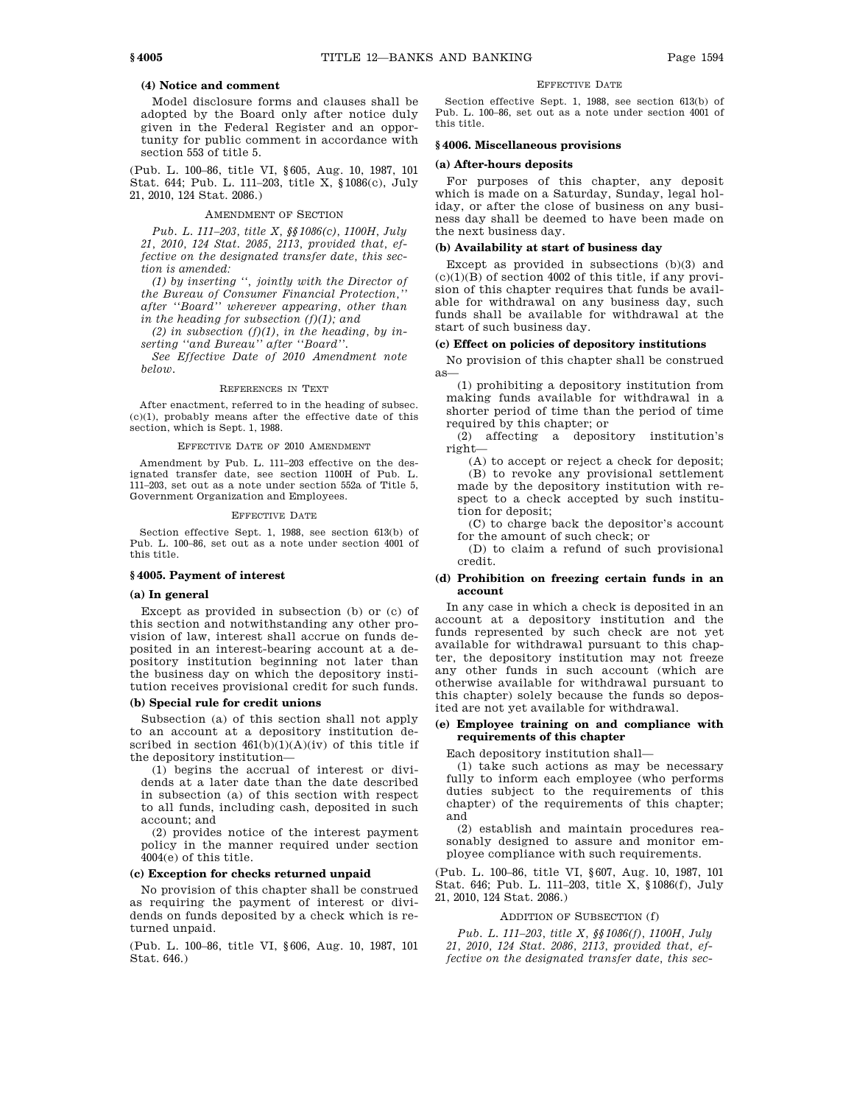## **(4) Notice and comment**

Model disclosure forms and clauses shall be adopted by the Board only after notice duly given in the Federal Register and an opportunity for public comment in accordance with section 553 of title 5.

(Pub. L. 100–86, title VI, §605, Aug. 10, 1987, 101 Stat. 644; Pub. L. 111–203, title X, §1086(c), July 21, 2010, 124 Stat. 2086.)

#### AMENDMENT OF SECTION

*Pub. L. 111–203, title X, §§1086(c), 1100H, July 21, 2010, 124 Stat. 2085, 2113, provided that, effective on the designated transfer date, this section is amended:*

*(1) by inserting '', jointly with the Director of the Bureau of Consumer Financial Protection,'' after ''Board'' wherever appearing, other than in the heading for subsection (f)(1); and*

*(2) in subsection (f)(1), in the heading, by inserting ''and Bureau'' after ''Board''.*

*See Effective Date of 2010 Amendment note below.*

#### REFERENCES IN TEXT

After enactment, referred to in the heading of subsec.  $(c)(1)$ , probably means after the effective date of this section, which is Sept. 1, 1988.

#### EFFECTIVE DATE OF 2010 AMENDMENT

Amendment by Pub. L. 111–203 effective on the designated transfer date, see section 1100H of Pub. L. 111–203, set out as a note under section 552a of Title 5, Government Organization and Employees.

#### EFFECTIVE DATE

Section effective Sept. 1, 1988, see section 613(b) of Pub. L. 100–86, set out as a note under section 4001 of this title.

## **§ 4005. Payment of interest**

## **(a) In general**

Except as provided in subsection (b) or (c) of this section and notwithstanding any other provision of law, interest shall accrue on funds deposited in an interest-bearing account at a depository institution beginning not later than the business day on which the depository institution receives provisional credit for such funds.

#### **(b) Special rule for credit unions**

Subsection (a) of this section shall not apply to an account at a depository institution described in section  $461(b)(1)(A)(iv)$  of this title if the depository institution—

(1) begins the accrual of interest or dividends at a later date than the date described in subsection (a) of this section with respect to all funds, including cash, deposited in such account; and

(2) provides notice of the interest payment policy in the manner required under section 4004(e) of this title.

## **(c) Exception for checks returned unpaid**

No provision of this chapter shall be construed as requiring the payment of interest or dividends on funds deposited by a check which is returned unpaid.

(Pub. L. 100–86, title VI, §606, Aug. 10, 1987, 101 Stat. 646.)

## EFFECTIVE DATE

Section effective Sept. 1, 1988, see section 613(b) of Pub. L. 100–86, set out as a note under section 4001 of this title.

## **§ 4006. Miscellaneous provisions**

#### **(a) After-hours deposits**

For purposes of this chapter, any deposit which is made on a Saturday, Sunday, legal holiday, or after the close of business on any business day shall be deemed to have been made on the next business day.

#### **(b) Availability at start of business day**

Except as provided in subsections (b)(3) and  $(c)(1)(B)$  of section 4002 of this title, if any provision of this chapter requires that funds be available for withdrawal on any business day, such funds shall be available for withdrawal at the start of such business day.

## **(c) Effect on policies of depository institutions**

No provision of this chapter shall be construed as—

(1) prohibiting a depository institution from making funds available for withdrawal in a shorter period of time than the period of time required by this chapter; or

(2) affecting a depository institution's right—

(A) to accept or reject a check for deposit; (B) to revoke any provisional settlement made by the depository institution with respect to a check accepted by such institution for deposit;

(C) to charge back the depositor's account for the amount of such check; or

(D) to claim a refund of such provisional credit.

## **(d) Prohibition on freezing certain funds in an account**

In any case in which a check is deposited in an account at a depository institution and the funds represented by such check are not yet available for withdrawal pursuant to this chapter, the depository institution may not freeze any other funds in such account (which are otherwise available for withdrawal pursuant to this chapter) solely because the funds so deposited are not yet available for withdrawal.

#### **(e) Employee training on and compliance with requirements of this chapter**

Each depository institution shall—

(1) take such actions as may be necessary fully to inform each employee (who performs duties subject to the requirements of this chapter) of the requirements of this chapter; and

(2) establish and maintain procedures reasonably designed to assure and monitor employee compliance with such requirements.

(Pub. L. 100–86, title VI, §607, Aug. 10, 1987, 101 Stat. 646; Pub. L. 111–203, title X, §1086(f), July 21, 2010, 124 Stat. 2086.)

#### ADDITION OF SUBSECTION (f)

*Pub. L. 111–203, title X, §§1086(f), 1100H, July 21, 2010, 124 Stat. 2086, 2113, provided that, effective on the designated transfer date, this sec-*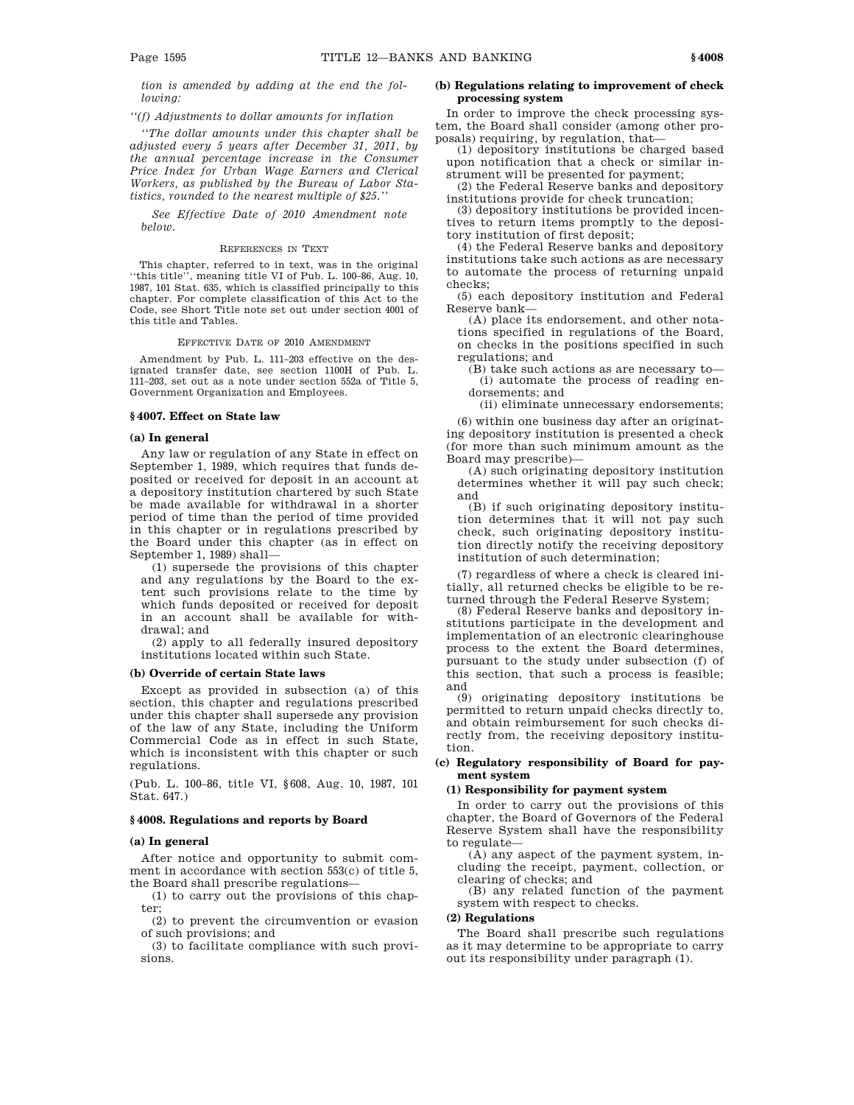*tion is amended by adding at the end the following:*

#### *''(f) Adjustments to dollar amounts for inflation*

*''The dollar amounts under this chapter shall be adjusted every 5 years after December 31, 2011, by the annual percentage increase in the Consumer Price Index for Urban Wage Earners and Clerical Workers, as published by the Bureau of Labor Statistics, rounded to the nearest multiple of \$25.''*

*See Effective Date of 2010 Amendment note below.*

#### REFERENCES IN TEXT

This chapter, referred to in text, was in the original ''this title'', meaning title VI of Pub. L. 100–86, Aug. 10, 1987, 101 Stat. 635, which is classified principally to this chapter. For complete classification of this Act to the Code, see Short Title note set out under section 4001 of this title and Tables.

## EFFECTIVE DATE OF 2010 AMENDMENT

Amendment by Pub. L. 111–203 effective on the designated transfer date, see section 1100H of Pub. L. 111–203, set out as a note under section 552a of Title 5, Government Organization and Employees.

## **§ 4007. Effect on State law**

#### **(a) In general**

Any law or regulation of any State in effect on September 1, 1989, which requires that funds deposited or received for deposit in an account at a depository institution chartered by such State be made available for withdrawal in a shorter period of time than the period of time provided in this chapter or in regulations prescribed by the Board under this chapter (as in effect on September 1, 1989) shall—

(1) supersede the provisions of this chapter and any regulations by the Board to the extent such provisions relate to the time by which funds deposited or received for deposit in an account shall be available for withdrawal; and

(2) apply to all federally insured depository institutions located within such State.

#### **(b) Override of certain State laws**

Except as provided in subsection (a) of this section, this chapter and regulations prescribed under this chapter shall supersede any provision of the law of any State, including the Uniform Commercial Code as in effect in such State, which is inconsistent with this chapter or such regulations.

(Pub. L. 100–86, title VI, §608, Aug. 10, 1987, 101 Stat. 647.)

## **§ 4008. Regulations and reports by Board**

#### **(a) In general**

After notice and opportunity to submit comment in accordance with section 553(c) of title 5, the Board shall prescribe regulations—

(1) to carry out the provisions of this chapter;

(2) to prevent the circumvention or evasion of such provisions; and

(3) to facilitate compliance with such provisions.

## **(b) Regulations relating to improvement of check processing system**

In order to improve the check processing system, the Board shall consider (among other proposals) requiring, by regulation, that—

(1) depository institutions be charged based upon notification that a check or similar instrument will be presented for payment;

(2) the Federal Reserve banks and depository institutions provide for check truncation;

(3) depository institutions be provided incentives to return items promptly to the depository institution of first deposit;

(4) the Federal Reserve banks and depository institutions take such actions as are necessary to automate the process of returning unpaid checks;

(5) each depository institution and Federal Reserve bank—

(A) place its endorsement, and other notations specified in regulations of the Board, on checks in the positions specified in such regulations; and

(B) take such actions as are necessary to—

(i) automate the process of reading endorsements; and

(ii) eliminate unnecessary endorsements;

(6) within one business day after an originating depository institution is presented a check (for more than such minimum amount as the Board may prescribe)—

(A) such originating depository institution determines whether it will pay such check; and

(B) if such originating depository institution determines that it will not pay such check, such originating depository institution directly notify the receiving depository institution of such determination;

(7) regardless of where a check is cleared initially, all returned checks be eligible to be returned through the Federal Reserve System;

(8) Federal Reserve banks and depository institutions participate in the development and implementation of an electronic clearinghouse process to the extent the Board determines, pursuant to the study under subsection (f) of this section, that such a process is feasible; and

(9) originating depository institutions be permitted to return unpaid checks directly to, and obtain reimbursement for such checks directly from, the receiving depository institution.

## **(c) Regulatory responsibility of Board for payment system**

#### **(1) Responsibility for payment system**

In order to carry out the provisions of this chapter, the Board of Governors of the Federal Reserve System shall have the responsibility to regulate—

 $(A)$  any aspect of the payment system, including the receipt, payment, collection, or clearing of checks; and

(B) any related function of the payment system with respect to checks.

## **(2) Regulations**

The Board shall prescribe such regulations as it may determine to be appropriate to carry out its responsibility under paragraph (1).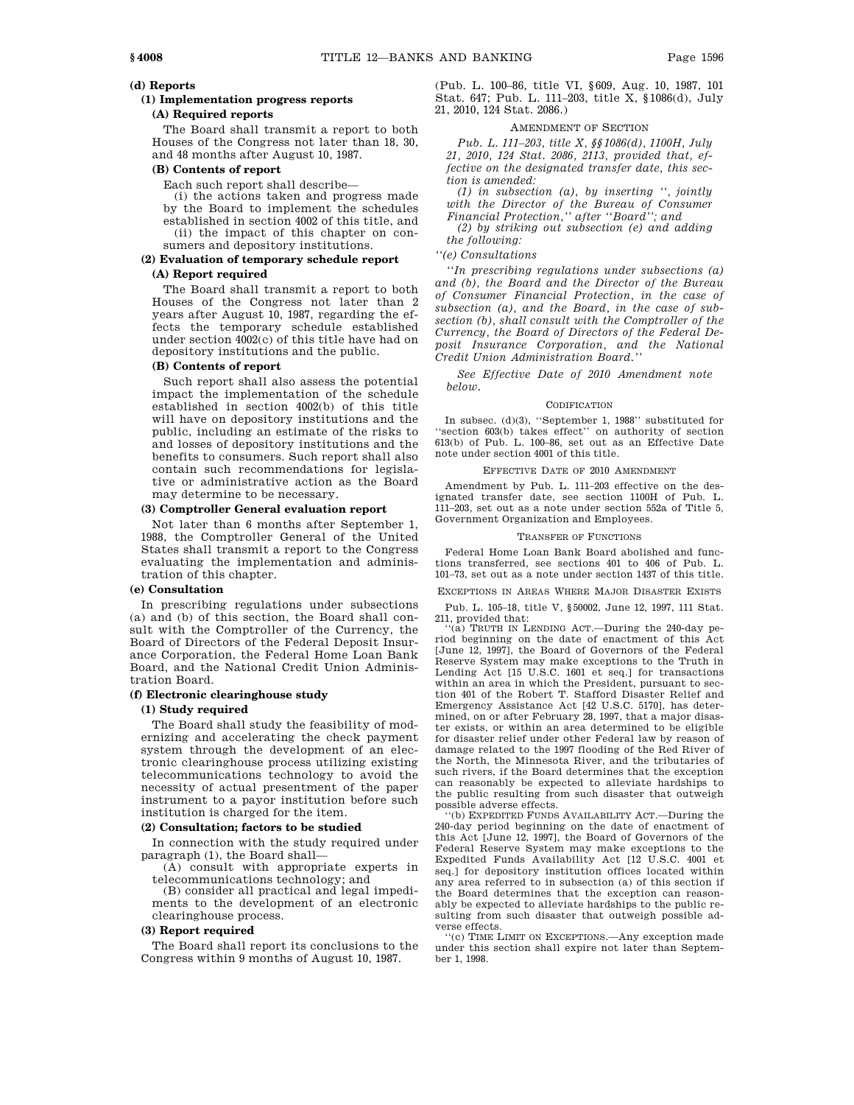## **(d) Reports**

## **(1) Implementation progress reports**

#### **(A) Required reports**

The Board shall transmit a report to both Houses of the Congress not later than 18, 30, and 48 months after August 10, 1987.

#### **(B) Contents of report**

Each such report shall describe—

(i) the actions taken and progress made by the Board to implement the schedules established in section 4002 of this title, and (ii) the impact of this chapter on consumers and depository institutions.

#### **(2) Evaluation of temporary schedule report**

## **(A) Report required**

The Board shall transmit a report to both Houses of the Congress not later than 2 years after August 10, 1987, regarding the effects the temporary schedule established under section 4002(c) of this title have had on depository institutions and the public.

# **(B) Contents of report**

Such report shall also assess the potential impact the implementation of the schedule established in section 4002(b) of this title will have on depository institutions and the public, including an estimate of the risks to and losses of depository institutions and the benefits to consumers. Such report shall also contain such recommendations for legislative or administrative action as the Board may determine to be necessary.

#### **(3) Comptroller General evaluation report**

Not later than 6 months after September 1, 1988, the Comptroller General of the United States shall transmit a report to the Congress evaluating the implementation and administration of this chapter.

## **(e) Consultation**

In prescribing regulations under subsections (a) and (b) of this section, the Board shall consult with the Comptroller of the Currency, the Board of Directors of the Federal Deposit Insurance Corporation, the Federal Home Loan Bank Board, and the National Credit Union Administration Board.

#### **(f) Electronic clearinghouse study**

#### **(1) Study required**

The Board shall study the feasibility of modernizing and accelerating the check payment system through the development of an electronic clearinghouse process utilizing existing telecommunications technology to avoid the necessity of actual presentment of the paper instrument to a payor institution before such institution is charged for the item.

#### **(2) Consultation; factors to be studied**

In connection with the study required under paragraph (1), the Board shall—

(A) consult with appropriate experts in telecommunications technology; and

(B) consider all practical and legal impediments to the development of an electronic clearinghouse process.

#### **(3) Report required**

The Board shall report its conclusions to the Congress within 9 months of August 10, 1987.

(Pub. L. 100–86, title VI, §609, Aug. 10, 1987, 101 Stat. 647; Pub. L. 111–203, title X, §1086(d), July 21, 2010, 124 Stat. 2086.)

#### AMENDMENT OF SECTION

*Pub. L. 111–203, title X, §§1086(d), 1100H, July 21, 2010, 124 Stat. 2086, 2113, provided that, effective on the designated transfer date, this section is amended:*

*(1) in subsection (a), by inserting '', jointly with the Director of the Bureau of Consumer Financial Protection,'' after ''Board''; and*

*(2) by striking out subsection (e) and adding the following:*

#### *''(e) Consultations*

*''In prescribing regulations under subsections (a) and (b), the Board and the Director of the Bureau of Consumer Financial Protection, in the case of subsection (a), and the Board, in the case of subsection (b), shall consult with the Comptroller of the Currency, the Board of Directors of the Federal Deposit Insurance Corporation, and the National Credit Union Administration Board.''*

*See Effective Date of 2010 Amendment note below.*

#### CODIFICATION

In subsec. (d)(3), ''September 1, 1988'' substituted for ''section 603(b) takes effect'' on authority of section 613(b) of Pub. L. 100–86, set out as an Effective Date note under section 4001 of this title.

#### EFFECTIVE DATE OF 2010 AMENDMENT

Amendment by Pub. L. 111–203 effective on the designated transfer date, see section 1100H of Pub. L. 111–203, set out as a note under section 552a of Title 5, Government Organization and Employees.

#### TRANSFER OF FUNCTIONS

Federal Home Loan Bank Board abolished and functions transferred, see sections 401 to 406 of Pub. L. 101–73, set out as a note under section 1437 of this title.

EXCEPTIONS IN AREAS WHERE MAJOR DISASTER EXISTS

Pub. L. 105–18, title V, §50002, June 12, 1997, 111 Stat. 211, provided that:

''(a) TRUTH IN LENDING ACT.—During the 240-day period beginning on the date of enactment of this Act [June 12, 1997], the Board of Governors of the Federal Reserve System may make exceptions to the Truth in Lending Act [15 U.S.C. 1601 et seq.] for transactions within an area in which the President, pursuant to section 401 of the Robert T. Stafford Disaster Relief and Emergency Assistance Act [42 U.S.C. 5170], has determined, on or after February 28, 1997, that a major disaster exists, or within an area determined to be eligible for disaster relief under other Federal law by reason of damage related to the 1997 flooding of the Red River of the North, the Minnesota River, and the tributaries of such rivers, if the Board determines that the exception can reasonably be expected to alleviate hardships to the public resulting from such disaster that outweigh

possible adverse effects. ''(b) EXPEDITED FUNDS AVAILABILITY ACT.—During the 240-day period beginning on the date of enactment of this Act [June 12, 1997], the Board of Governors of the Federal Reserve System may make exceptions to the Expedited Funds Availability Act [12 U.S.C. 4001 et seq.] for depository institution offices located within any area referred to in subsection (a) of this section if the Board determines that the exception can reasonably be expected to alleviate hardships to the public resulting from such disaster that outweigh possible adverse effects.

'(c) TIME LIMIT ON EXCEPTIONS.—Any exception made under this section shall expire not later than September 1, 1998.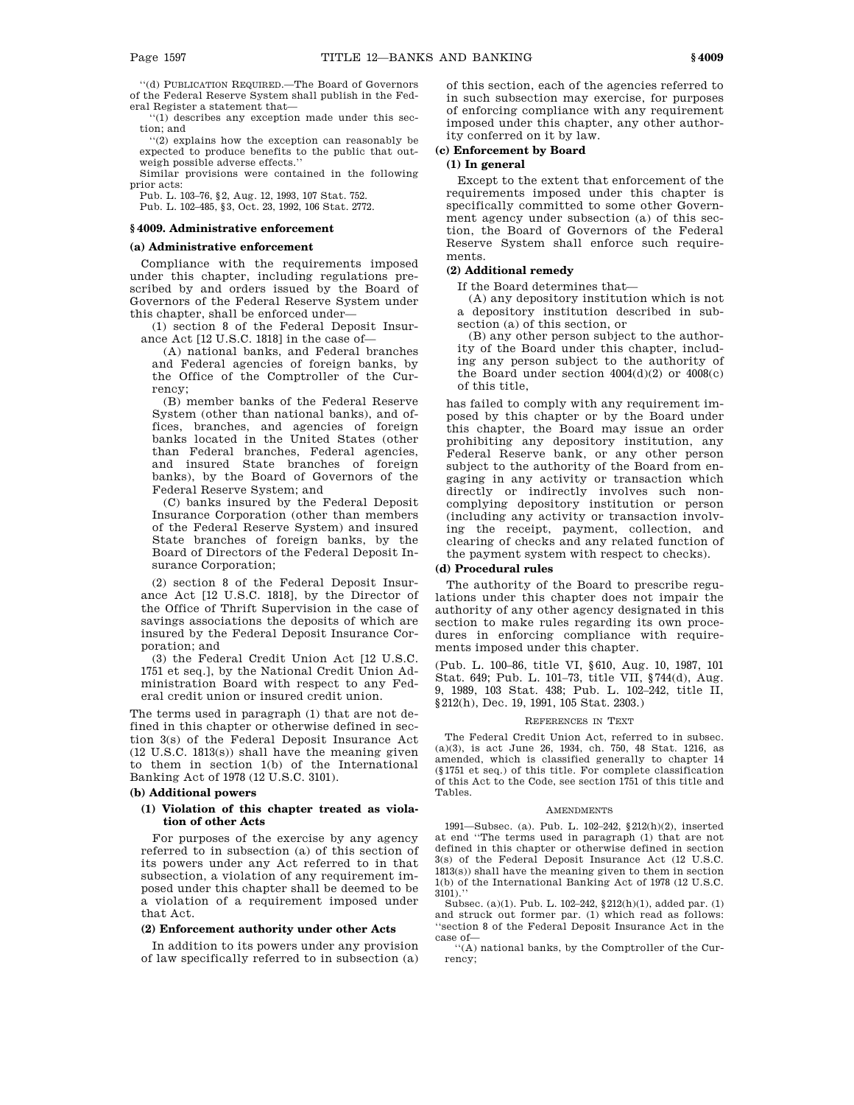''(d) PUBLICATION REQUIRED.—The Board of Governors of the Federal Reserve System shall publish in the Federal Register a statement that—

''(1) describes any exception made under this section; and

''(2) explains how the exception can reasonably be expected to produce benefits to the public that outweigh possible adverse effects.''

Similar provisions were contained in the following prior acts:

Pub. L. 103–76, §2, Aug. 12, 1993, 107 Stat. 752.

# Pub. L. 102–485, §3, Oct. 23, 1992, 106 Stat. 2772.

# **§ 4009. Administrative enforcement**

# **(a) Administrative enforcement**

Compliance with the requirements imposed under this chapter, including regulations prescribed by and orders issued by the Board of Governors of the Federal Reserve System under this chapter, shall be enforced under—

(1) section 8 of the Federal Deposit Insurance Act [12 U.S.C. 1818] in the case of—

(A) national banks, and Federal branches and Federal agencies of foreign banks, by the Office of the Comptroller of the Currency;

(B) member banks of the Federal Reserve System (other than national banks), and offices, branches, and agencies of foreign banks located in the United States (other than Federal branches, Federal agencies, and insured State branches of foreign banks), by the Board of Governors of the Federal Reserve System; and

(C) banks insured by the Federal Deposit Insurance Corporation (other than members of the Federal Reserve System) and insured State branches of foreign banks, by the Board of Directors of the Federal Deposit Insurance Corporation;

(2) section 8 of the Federal Deposit Insurance Act [12 U.S.C. 1818], by the Director of the Office of Thrift Supervision in the case of savings associations the deposits of which are insured by the Federal Deposit Insurance Corporation; and

(3) the Federal Credit Union Act [12 U.S.C. 1751 et seq.], by the National Credit Union Administration Board with respect to any Federal credit union or insured credit union.

The terms used in paragraph (1) that are not defined in this chapter or otherwise defined in section 3(s) of the Federal Deposit Insurance Act (12 U.S.C. 1813(s)) shall have the meaning given to them in section 1(b) of the International Banking Act of 1978 (12 U.S.C. 3101).

#### **(b) Additional powers**

## **(1) Violation of this chapter treated as violation of other Acts**

For purposes of the exercise by any agency referred to in subsection (a) of this section of its powers under any Act referred to in that subsection, a violation of any requirement imposed under this chapter shall be deemed to be a violation of a requirement imposed under that Act.

# **(2) Enforcement authority under other Acts**

In addition to its powers under any provision of law specifically referred to in subsection (a)

of this section, each of the agencies referred to in such subsection may exercise, for purposes of enforcing compliance with any requirement imposed under this chapter, any other authority conferred on it by law.

## **(c) Enforcement by Board**

## **(1) In general**

Except to the extent that enforcement of the requirements imposed under this chapter is specifically committed to some other Government agency under subsection (a) of this section, the Board of Governors of the Federal Reserve System shall enforce such requirements.

#### **(2) Additional remedy**

If the Board determines that—

(A) any depository institution which is not a depository institution described in subsection (a) of this section, or

(B) any other person subject to the authority of the Board under this chapter, including any person subject to the authority of the Board under section  $4004(d)(2)$  or  $4008(c)$ of this title,

has failed to comply with any requirement imposed by this chapter or by the Board under this chapter, the Board may issue an order prohibiting any depository institution, any Federal Reserve bank, or any other person subject to the authority of the Board from engaging in any activity or transaction which directly or indirectly involves such noncomplying depository institution or person (including any activity or transaction involving the receipt, payment, collection, and clearing of checks and any related function of the payment system with respect to checks).

## **(d) Procedural rules**

The authority of the Board to prescribe regulations under this chapter does not impair the authority of any other agency designated in this section to make rules regarding its own procedures in enforcing compliance with requirements imposed under this chapter.

(Pub. L. 100–86, title VI, §610, Aug. 10, 1987, 101 Stat. 649; Pub. L. 101–73, title VII, §744(d), Aug. 9, 1989, 103 Stat. 438; Pub. L. 102–242, title II, §212(h), Dec. 19, 1991, 105 Stat. 2303.)

#### REFERENCES IN TEXT

The Federal Credit Union Act, referred to in subsec. (a)(3), is act June 26, 1934, ch. 750, 48 Stat. 1216, as amended, which is classified generally to chapter 14 (§1751 et seq.) of this title. For complete classification of this Act to the Code, see section 1751 of this title and Tables.

#### AMENDMENTS

1991—Subsec. (a). Pub. L. 102–242, §212(h)(2), inserted at end ''The terms used in paragraph (1) that are not defined in this chapter or otherwise defined in section 3(s) of the Federal Deposit Insurance Act (12 U.S.C. 1813(s)) shall have the meaning given to them in section 1(b) of the International Banking Act of 1978 (12 U.S.C. 3101).''

Subsec. (a)(1). Pub. L. 102–242, §212(h)(1), added par. (1) and struck out former par. (1) which read as follows: ''section 8 of the Federal Deposit Insurance Act in the

case of— ''(A) national banks, by the Comptroller of the Currency;